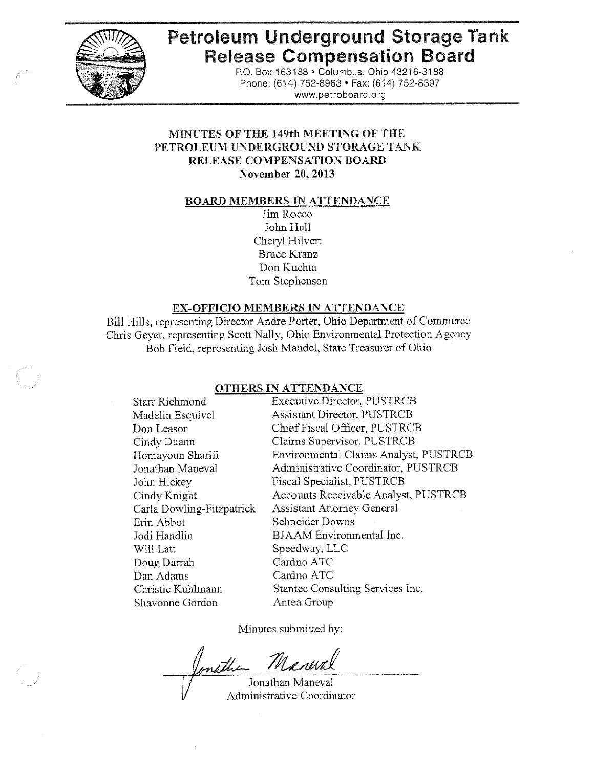

# Petroleum Underground Storage Tank **Release Compensation Board**

P.O. Box 163188 · Columbus, Ohio 43216-3188 Phone: (614) 752-8963 · Fax: (614) 752-8397 www.petroboard.org

## MINUTES OF THE 149th MEETING OF THE PETROLEUM UNDERGROUND STORAGE TANK RELEASE COMPENSATION BOARD November 20, 2013

#### **BOARD MEMBERS IN ATTENDANCE**

Jim Rocco John Hull Cheryl Hilvert **Bruce Kranz** Don Kuchta Tom Stephenson

#### **EX-OFFICIO MEMBERS IN ATTENDANCE**

Bill Hills, representing Director Andre Porter, Ohio Department of Commerce Chris Geyer, representing Scott Nally, Ohio Environmental Protection Agency Bob Field, representing Josh Mandel, State Treasurer of Ohio

#### OTHERS IN ATTENDANCE

| Starr Richmond            | <b>Executive Director, PUSTRCB</b>    |
|---------------------------|---------------------------------------|
| Madelin Esquivel          | <b>Assistant Director, PUSTRCB</b>    |
| Don Leasor                | Chief Fiscal Officer, PUSTRCB         |
| Cindy Duann               | Claims Supervisor, PUSTRCB            |
| Homayoun Sharifi          | Environmental Claims Analyst, PUSTRCB |
| Jonathan Maneval          | Administrative Coordinator, PUSTRCB   |
| John Hickey               | Fiscal Specialist, PUSTRCB            |
| Cindy Knight              | Accounts Receivable Analyst, PUSTRCB  |
| Carla Dowling-Fitzpatrick | <b>Assistant Attorney General</b>     |
| Erin Abbot                | Schneider Downs                       |
| Jodi Handlin              | BJAAM Environmental Inc.              |
| Will Latt                 | Speedway, LLC                         |
| Doug Darrah               | Cardno ATC                            |
| Dan Adams                 | Cardno ATC                            |
| Christie Kuhlmann         | Stantee Consulting Services Inc.      |
| Shavonne Gordon           | Antea Group                           |

Minutes submitted by:

mather Maneral

Jonathan Maneval Administrative Coordinator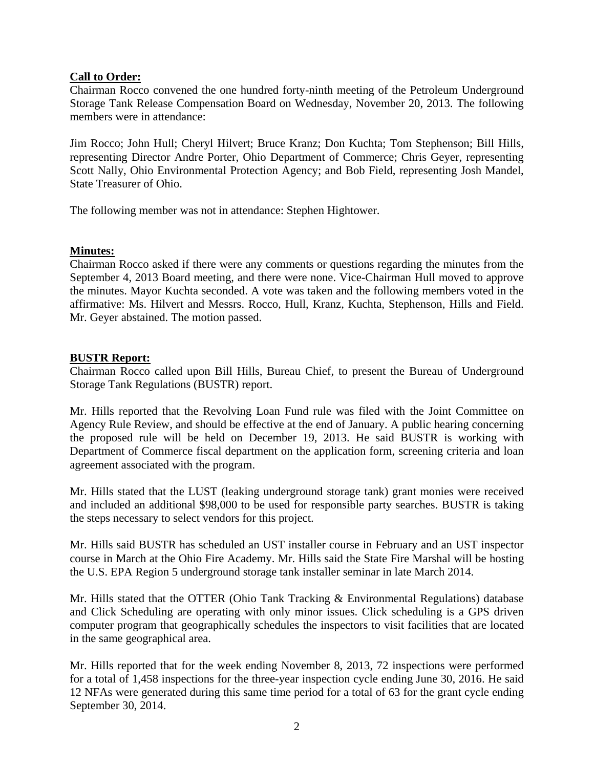## **Call to Order:**

Chairman Rocco convened the one hundred forty-ninth meeting of the Petroleum Underground Storage Tank Release Compensation Board on Wednesday, November 20, 2013. The following members were in attendance:

Jim Rocco; John Hull; Cheryl Hilvert; Bruce Kranz; Don Kuchta; Tom Stephenson; Bill Hills, representing Director Andre Porter, Ohio Department of Commerce; Chris Geyer, representing Scott Nally, Ohio Environmental Protection Agency; and Bob Field, representing Josh Mandel, State Treasurer of Ohio.

The following member was not in attendance: Stephen Hightower.

#### **Minutes:**

Chairman Rocco asked if there were any comments or questions regarding the minutes from the September 4, 2013 Board meeting, and there were none. Vice-Chairman Hull moved to approve the minutes. Mayor Kuchta seconded. A vote was taken and the following members voted in the affirmative: Ms. Hilvert and Messrs. Rocco, Hull, Kranz, Kuchta, Stephenson, Hills and Field. Mr. Geyer abstained. The motion passed.

#### **BUSTR Report:**

Chairman Rocco called upon Bill Hills, Bureau Chief, to present the Bureau of Underground Storage Tank Regulations (BUSTR) report.

Mr. Hills reported that the Revolving Loan Fund rule was filed with the Joint Committee on Agency Rule Review, and should be effective at the end of January. A public hearing concerning the proposed rule will be held on December 19, 2013. He said BUSTR is working with Department of Commerce fiscal department on the application form, screening criteria and loan agreement associated with the program.

Mr. Hills stated that the LUST (leaking underground storage tank) grant monies were received and included an additional \$98,000 to be used for responsible party searches. BUSTR is taking the steps necessary to select vendors for this project.

Mr. Hills said BUSTR has scheduled an UST installer course in February and an UST inspector course in March at the Ohio Fire Academy. Mr. Hills said the State Fire Marshal will be hosting the U.S. EPA Region 5 underground storage tank installer seminar in late March 2014.

Mr. Hills stated that the OTTER (Ohio Tank Tracking & Environmental Regulations) database and Click Scheduling are operating with only minor issues. Click scheduling is a GPS driven computer program that geographically schedules the inspectors to visit facilities that are located in the same geographical area.

Mr. Hills reported that for the week ending November 8, 2013, 72 inspections were performed for a total of 1,458 inspections for the three-year inspection cycle ending June 30, 2016. He said 12 NFAs were generated during this same time period for a total of 63 for the grant cycle ending September 30, 2014.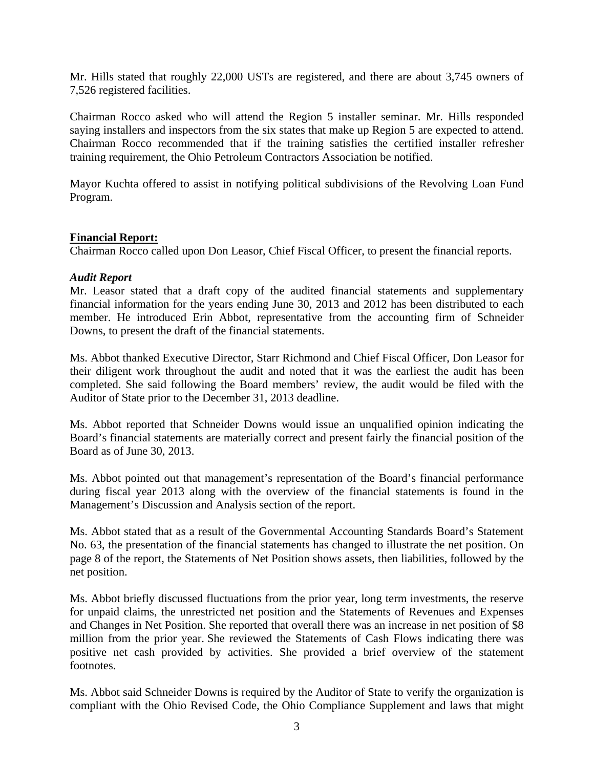Mr. Hills stated that roughly 22,000 USTs are registered, and there are about 3,745 owners of 7,526 registered facilities.

Chairman Rocco asked who will attend the Region 5 installer seminar. Mr. Hills responded saying installers and inspectors from the six states that make up Region 5 are expected to attend. Chairman Rocco recommended that if the training satisfies the certified installer refresher training requirement, the Ohio Petroleum Contractors Association be notified.

Mayor Kuchta offered to assist in notifying political subdivisions of the Revolving Loan Fund Program.

#### **Financial Report:**

Chairman Rocco called upon Don Leasor, Chief Fiscal Officer, to present the financial reports.

## *Audit Report*

Mr. Leasor stated that a draft copy of the audited financial statements and supplementary financial information for the years ending June 30, 2013 and 2012 has been distributed to each member. He introduced Erin Abbot, representative from the accounting firm of Schneider Downs, to present the draft of the financial statements.

Ms. Abbot thanked Executive Director, Starr Richmond and Chief Fiscal Officer, Don Leasor for their diligent work throughout the audit and noted that it was the earliest the audit has been completed. She said following the Board members' review, the audit would be filed with the Auditor of State prior to the December 31, 2013 deadline.

Ms. Abbot reported that Schneider Downs would issue an unqualified opinion indicating the Board's financial statements are materially correct and present fairly the financial position of the Board as of June 30, 2013.

Ms. Abbot pointed out that management's representation of the Board's financial performance during fiscal year 2013 along with the overview of the financial statements is found in the Management's Discussion and Analysis section of the report.

Ms. Abbot stated that as a result of the Governmental Accounting Standards Board's Statement No. 63, the presentation of the financial statements has changed to illustrate the net position. On page 8 of the report, the Statements of Net Position shows assets, then liabilities, followed by the net position.

Ms. Abbot briefly discussed fluctuations from the prior year, long term investments, the reserve for unpaid claims, the unrestricted net position and the Statements of Revenues and Expenses and Changes in Net Position. She reported that overall there was an increase in net position of \$8 million from the prior year. She reviewed the Statements of Cash Flows indicating there was positive net cash provided by activities. She provided a brief overview of the statement footnotes.

Ms. Abbot said Schneider Downs is required by the Auditor of State to verify the organization is compliant with the Ohio Revised Code, the Ohio Compliance Supplement and laws that might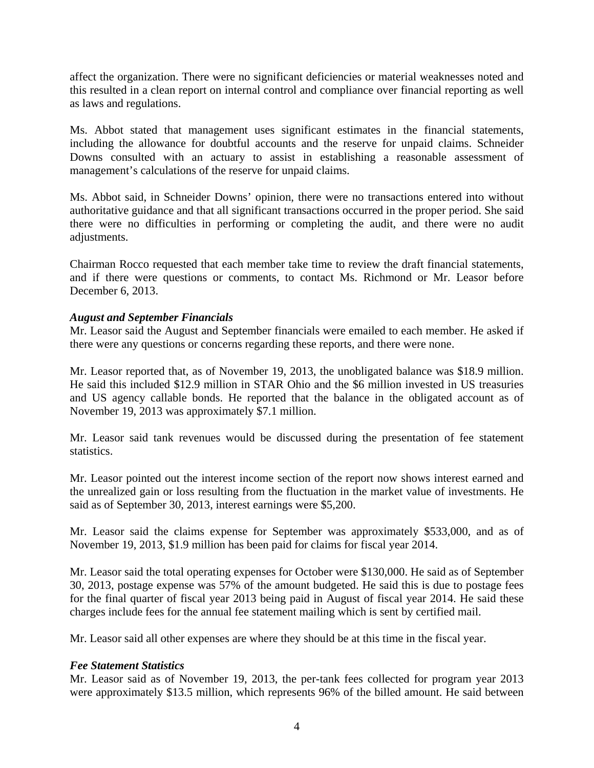affect the organization. There were no significant deficiencies or material weaknesses noted and this resulted in a clean report on internal control and compliance over financial reporting as well as laws and regulations.

Ms. Abbot stated that management uses significant estimates in the financial statements, including the allowance for doubtful accounts and the reserve for unpaid claims. Schneider Downs consulted with an actuary to assist in establishing a reasonable assessment of management's calculations of the reserve for unpaid claims.

Ms. Abbot said, in Schneider Downs' opinion, there were no transactions entered into without authoritative guidance and that all significant transactions occurred in the proper period. She said there were no difficulties in performing or completing the audit, and there were no audit adjustments.

Chairman Rocco requested that each member take time to review the draft financial statements, and if there were questions or comments, to contact Ms. Richmond or Mr. Leasor before December 6, 2013.

## *August and September Financials*

Mr. Leasor said the August and September financials were emailed to each member. He asked if there were any questions or concerns regarding these reports, and there were none.

Mr. Leasor reported that, as of November 19, 2013, the unobligated balance was \$18.9 million. He said this included \$12.9 million in STAR Ohio and the \$6 million invested in US treasuries and US agency callable bonds. He reported that the balance in the obligated account as of November 19, 2013 was approximately \$7.1 million.

Mr. Leasor said tank revenues would be discussed during the presentation of fee statement statistics.

Mr. Leasor pointed out the interest income section of the report now shows interest earned and the unrealized gain or loss resulting from the fluctuation in the market value of investments. He said as of September 30, 2013, interest earnings were \$5,200.

Mr. Leasor said the claims expense for September was approximately \$533,000, and as of November 19, 2013, \$1.9 million has been paid for claims for fiscal year 2014.

Mr. Leasor said the total operating expenses for October were \$130,000. He said as of September 30, 2013, postage expense was 57% of the amount budgeted. He said this is due to postage fees for the final quarter of fiscal year 2013 being paid in August of fiscal year 2014. He said these charges include fees for the annual fee statement mailing which is sent by certified mail.

Mr. Leasor said all other expenses are where they should be at this time in the fiscal year.

## *Fee Statement Statistics*

Mr. Leasor said as of November 19, 2013, the per-tank fees collected for program year 2013 were approximately \$13.5 million, which represents 96% of the billed amount. He said between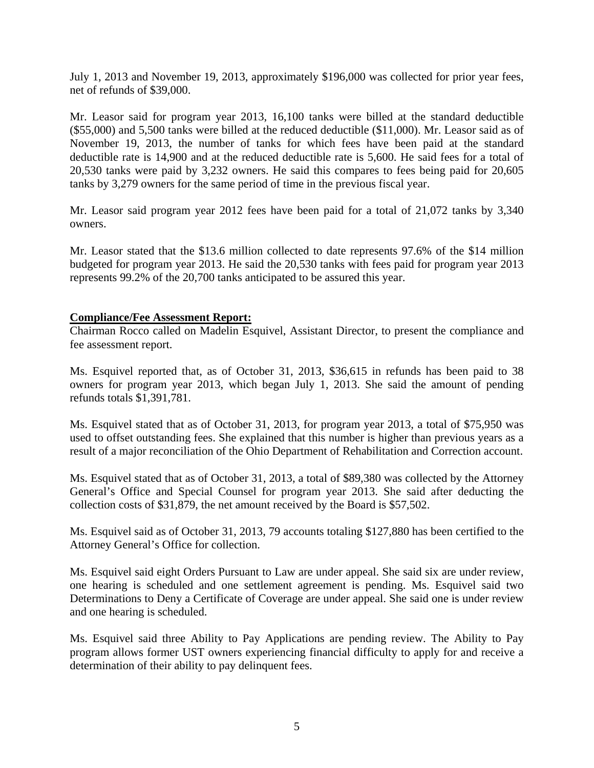July 1, 2013 and November 19, 2013, approximately \$196,000 was collected for prior year fees, net of refunds of \$39,000.

Mr. Leasor said for program year 2013, 16,100 tanks were billed at the standard deductible (\$55,000) and 5,500 tanks were billed at the reduced deductible (\$11,000). Mr. Leasor said as of November 19, 2013, the number of tanks for which fees have been paid at the standard deductible rate is 14,900 and at the reduced deductible rate is 5,600. He said fees for a total of 20,530 tanks were paid by 3,232 owners. He said this compares to fees being paid for 20,605 tanks by 3,279 owners for the same period of time in the previous fiscal year.

Mr. Leasor said program year 2012 fees have been paid for a total of 21,072 tanks by 3,340 owners.

Mr. Leasor stated that the \$13.6 million collected to date represents 97.6% of the \$14 million budgeted for program year 2013. He said the 20,530 tanks with fees paid for program year 2013 represents 99.2% of the 20,700 tanks anticipated to be assured this year.

#### **Compliance/Fee Assessment Report:**

Chairman Rocco called on Madelin Esquivel, Assistant Director, to present the compliance and fee assessment report.

Ms. Esquivel reported that, as of October 31, 2013, \$36,615 in refunds has been paid to 38 owners for program year 2013, which began July 1, 2013. She said the amount of pending refunds totals \$1,391,781.

Ms. Esquivel stated that as of October 31, 2013, for program year 2013, a total of \$75,950 was used to offset outstanding fees. She explained that this number is higher than previous years as a result of a major reconciliation of the Ohio Department of Rehabilitation and Correction account.

Ms. Esquivel stated that as of October 31, 2013, a total of \$89,380 was collected by the Attorney General's Office and Special Counsel for program year 2013. She said after deducting the collection costs of \$31,879, the net amount received by the Board is \$57,502.

Ms. Esquivel said as of October 31, 2013, 79 accounts totaling \$127,880 has been certified to the Attorney General's Office for collection.

Ms. Esquivel said eight Orders Pursuant to Law are under appeal. She said six are under review, one hearing is scheduled and one settlement agreement is pending. Ms. Esquivel said two Determinations to Deny a Certificate of Coverage are under appeal. She said one is under review and one hearing is scheduled.

Ms. Esquivel said three Ability to Pay Applications are pending review. The Ability to Pay program allows former UST owners experiencing financial difficulty to apply for and receive a determination of their ability to pay delinquent fees.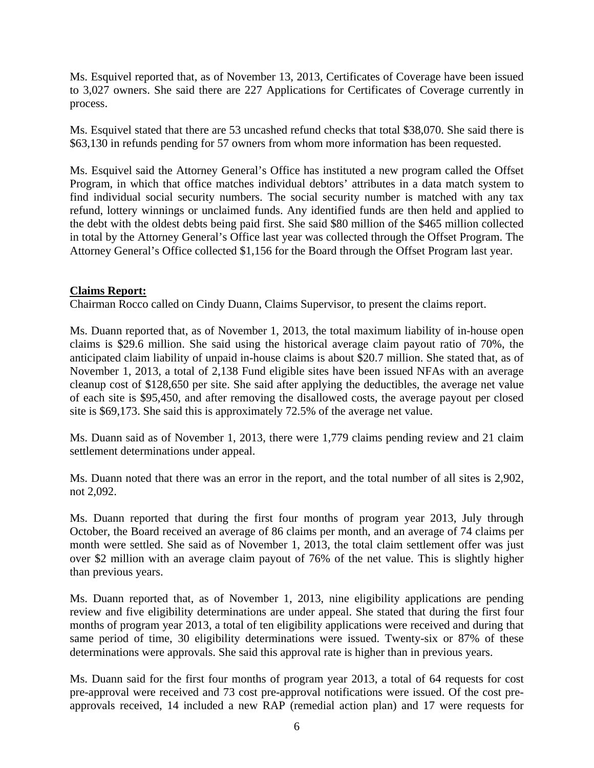Ms. Esquivel reported that, as of November 13, 2013, Certificates of Coverage have been issued to 3,027 owners. She said there are 227 Applications for Certificates of Coverage currently in process.

Ms. Esquivel stated that there are 53 uncashed refund checks that total \$38,070. She said there is \$63,130 in refunds pending for 57 owners from whom more information has been requested.

Ms. Esquivel said the Attorney General's Office has instituted a new program called the Offset Program, in which that office matches individual debtors' attributes in a data match system to find individual social security numbers. The social security number is matched with any tax refund, lottery winnings or unclaimed funds. Any identified funds are then held and applied to the debt with the oldest debts being paid first. She said \$80 million of the \$465 million collected in total by the Attorney General's Office last year was collected through the Offset Program. The Attorney General's Office collected \$1,156 for the Board through the Offset Program last year.

## **Claims Report:**

Chairman Rocco called on Cindy Duann, Claims Supervisor, to present the claims report.

Ms. Duann reported that, as of November 1, 2013, the total maximum liability of in-house open claims is \$29.6 million. She said using the historical average claim payout ratio of 70%, the anticipated claim liability of unpaid in-house claims is about \$20.7 million. She stated that, as of November 1, 2013, a total of 2,138 Fund eligible sites have been issued NFAs with an average cleanup cost of \$128,650 per site. She said after applying the deductibles, the average net value of each site is \$95,450, and after removing the disallowed costs, the average payout per closed site is \$69,173. She said this is approximately 72.5% of the average net value.

Ms. Duann said as of November 1, 2013, there were 1,779 claims pending review and 21 claim settlement determinations under appeal.

Ms. Duann noted that there was an error in the report, and the total number of all sites is 2,902, not 2,092.

Ms. Duann reported that during the first four months of program year 2013, July through October, the Board received an average of 86 claims per month, and an average of 74 claims per month were settled. She said as of November 1, 2013, the total claim settlement offer was just over \$2 million with an average claim payout of 76% of the net value. This is slightly higher than previous years.

Ms. Duann reported that, as of November 1, 2013, nine eligibility applications are pending review and five eligibility determinations are under appeal. She stated that during the first four months of program year 2013, a total of ten eligibility applications were received and during that same period of time, 30 eligibility determinations were issued. Twenty-six or 87% of these determinations were approvals. She said this approval rate is higher than in previous years.

Ms. Duann said for the first four months of program year 2013, a total of 64 requests for cost pre-approval were received and 73 cost pre-approval notifications were issued. Of the cost preapprovals received, 14 included a new RAP (remedial action plan) and 17 were requests for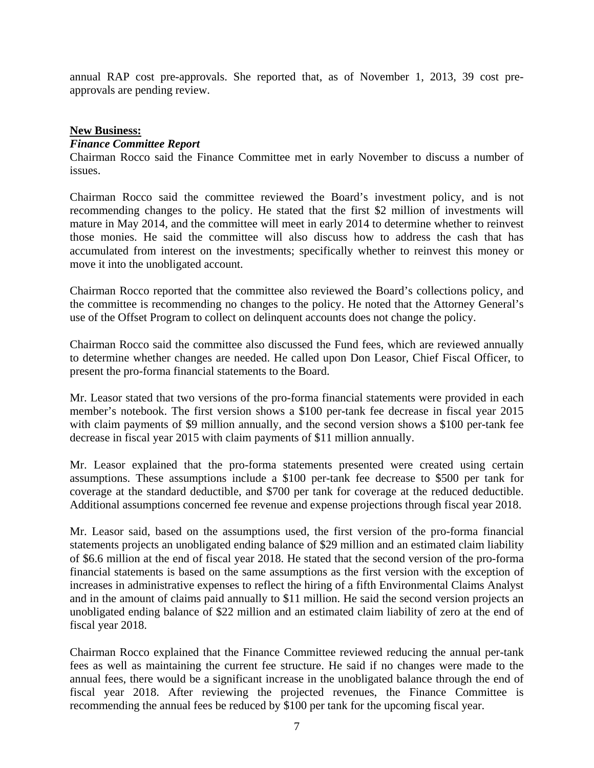annual RAP cost pre-approvals. She reported that, as of November 1, 2013, 39 cost preapprovals are pending review.

#### **New Business:**

#### *Finance Committee Report*

Chairman Rocco said the Finance Committee met in early November to discuss a number of issues.

Chairman Rocco said the committee reviewed the Board's investment policy, and is not recommending changes to the policy. He stated that the first \$2 million of investments will mature in May 2014, and the committee will meet in early 2014 to determine whether to reinvest those monies. He said the committee will also discuss how to address the cash that has accumulated from interest on the investments; specifically whether to reinvest this money or move it into the unobligated account.

Chairman Rocco reported that the committee also reviewed the Board's collections policy, and the committee is recommending no changes to the policy. He noted that the Attorney General's use of the Offset Program to collect on delinquent accounts does not change the policy.

Chairman Rocco said the committee also discussed the Fund fees, which are reviewed annually to determine whether changes are needed. He called upon Don Leasor, Chief Fiscal Officer, to present the pro-forma financial statements to the Board.

Mr. Leasor stated that two versions of the pro-forma financial statements were provided in each member's notebook. The first version shows a \$100 per-tank fee decrease in fiscal year 2015 with claim payments of \$9 million annually, and the second version shows a \$100 per-tank fee decrease in fiscal year 2015 with claim payments of \$11 million annually.

Mr. Leasor explained that the pro-forma statements presented were created using certain assumptions. These assumptions include a \$100 per-tank fee decrease to \$500 per tank for coverage at the standard deductible, and \$700 per tank for coverage at the reduced deductible. Additional assumptions concerned fee revenue and expense projections through fiscal year 2018.

Mr. Leasor said, based on the assumptions used, the first version of the pro-forma financial statements projects an unobligated ending balance of \$29 million and an estimated claim liability of \$6.6 million at the end of fiscal year 2018. He stated that the second version of the pro-forma financial statements is based on the same assumptions as the first version with the exception of increases in administrative expenses to reflect the hiring of a fifth Environmental Claims Analyst and in the amount of claims paid annually to \$11 million. He said the second version projects an unobligated ending balance of \$22 million and an estimated claim liability of zero at the end of fiscal year 2018.

Chairman Rocco explained that the Finance Committee reviewed reducing the annual per-tank fees as well as maintaining the current fee structure. He said if no changes were made to the annual fees, there would be a significant increase in the unobligated balance through the end of fiscal year 2018. After reviewing the projected revenues, the Finance Committee is recommending the annual fees be reduced by \$100 per tank for the upcoming fiscal year.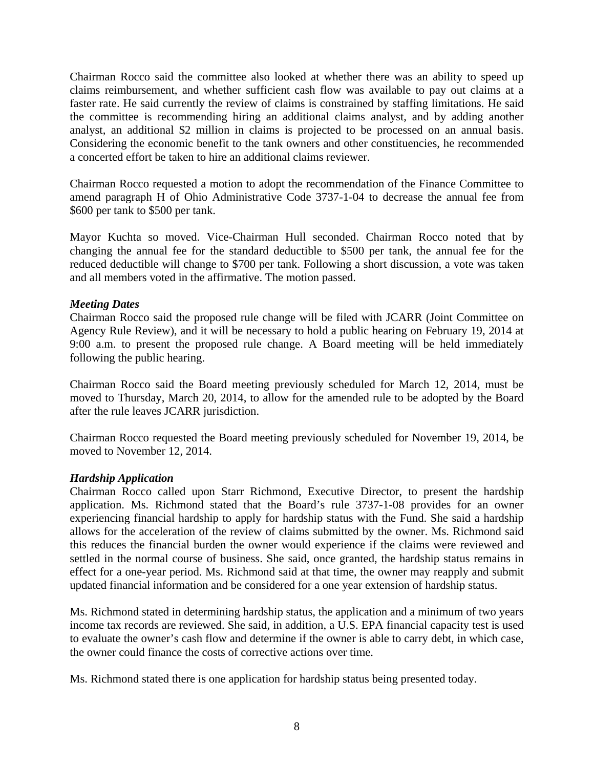Chairman Rocco said the committee also looked at whether there was an ability to speed up claims reimbursement, and whether sufficient cash flow was available to pay out claims at a faster rate. He said currently the review of claims is constrained by staffing limitations. He said the committee is recommending hiring an additional claims analyst, and by adding another analyst, an additional \$2 million in claims is projected to be processed on an annual basis. Considering the economic benefit to the tank owners and other constituencies, he recommended a concerted effort be taken to hire an additional claims reviewer.

Chairman Rocco requested a motion to adopt the recommendation of the Finance Committee to amend paragraph H of Ohio Administrative Code 3737-1-04 to decrease the annual fee from \$600 per tank to \$500 per tank.

Mayor Kuchta so moved. Vice-Chairman Hull seconded. Chairman Rocco noted that by changing the annual fee for the standard deductible to \$500 per tank, the annual fee for the reduced deductible will change to \$700 per tank. Following a short discussion, a vote was taken and all members voted in the affirmative. The motion passed.

#### *Meeting Dates*

Chairman Rocco said the proposed rule change will be filed with JCARR (Joint Committee on Agency Rule Review), and it will be necessary to hold a public hearing on February 19, 2014 at 9:00 a.m. to present the proposed rule change. A Board meeting will be held immediately following the public hearing.

Chairman Rocco said the Board meeting previously scheduled for March 12, 2014, must be moved to Thursday, March 20, 2014, to allow for the amended rule to be adopted by the Board after the rule leaves JCARR jurisdiction.

Chairman Rocco requested the Board meeting previously scheduled for November 19, 2014, be moved to November 12, 2014.

#### *Hardship Application*

Chairman Rocco called upon Starr Richmond, Executive Director, to present the hardship application. Ms. Richmond stated that the Board's rule 3737-1-08 provides for an owner experiencing financial hardship to apply for hardship status with the Fund. She said a hardship allows for the acceleration of the review of claims submitted by the owner. Ms. Richmond said this reduces the financial burden the owner would experience if the claims were reviewed and settled in the normal course of business. She said, once granted, the hardship status remains in effect for a one-year period. Ms. Richmond said at that time, the owner may reapply and submit updated financial information and be considered for a one year extension of hardship status.

Ms. Richmond stated in determining hardship status, the application and a minimum of two years income tax records are reviewed. She said, in addition, a U.S. EPA financial capacity test is used to evaluate the owner's cash flow and determine if the owner is able to carry debt, in which case, the owner could finance the costs of corrective actions over time.

Ms. Richmond stated there is one application for hardship status being presented today.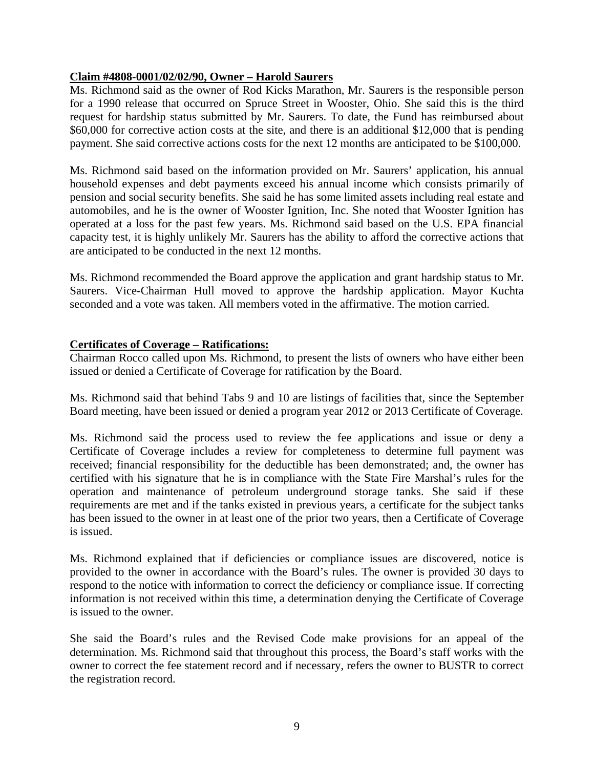## **Claim #4808-0001/02/02/90, Owner – Harold Saurers**

Ms. Richmond said as the owner of Rod Kicks Marathon, Mr. Saurers is the responsible person for a 1990 release that occurred on Spruce Street in Wooster, Ohio. She said this is the third request for hardship status submitted by Mr. Saurers. To date, the Fund has reimbursed about \$60,000 for corrective action costs at the site, and there is an additional \$12,000 that is pending payment. She said corrective actions costs for the next 12 months are anticipated to be \$100,000.

Ms. Richmond said based on the information provided on Mr. Saurers' application, his annual household expenses and debt payments exceed his annual income which consists primarily of pension and social security benefits. She said he has some limited assets including real estate and automobiles, and he is the owner of Wooster Ignition, Inc. She noted that Wooster Ignition has operated at a loss for the past few years. Ms. Richmond said based on the U.S. EPA financial capacity test, it is highly unlikely Mr. Saurers has the ability to afford the corrective actions that are anticipated to be conducted in the next 12 months.

Ms. Richmond recommended the Board approve the application and grant hardship status to Mr. Saurers. Vice-Chairman Hull moved to approve the hardship application. Mayor Kuchta seconded and a vote was taken. All members voted in the affirmative. The motion carried.

#### **Certificates of Coverage – Ratifications:**

Chairman Rocco called upon Ms. Richmond, to present the lists of owners who have either been issued or denied a Certificate of Coverage for ratification by the Board.

Ms. Richmond said that behind Tabs 9 and 10 are listings of facilities that, since the September Board meeting, have been issued or denied a program year 2012 or 2013 Certificate of Coverage.

Ms. Richmond said the process used to review the fee applications and issue or deny a Certificate of Coverage includes a review for completeness to determine full payment was received; financial responsibility for the deductible has been demonstrated; and, the owner has certified with his signature that he is in compliance with the State Fire Marshal's rules for the operation and maintenance of petroleum underground storage tanks. She said if these requirements are met and if the tanks existed in previous years, a certificate for the subject tanks has been issued to the owner in at least one of the prior two years, then a Certificate of Coverage is issued.

Ms. Richmond explained that if deficiencies or compliance issues are discovered, notice is provided to the owner in accordance with the Board's rules. The owner is provided 30 days to respond to the notice with information to correct the deficiency or compliance issue. If correcting information is not received within this time, a determination denying the Certificate of Coverage is issued to the owner.

She said the Board's rules and the Revised Code make provisions for an appeal of the determination. Ms. Richmond said that throughout this process, the Board's staff works with the owner to correct the fee statement record and if necessary, refers the owner to BUSTR to correct the registration record.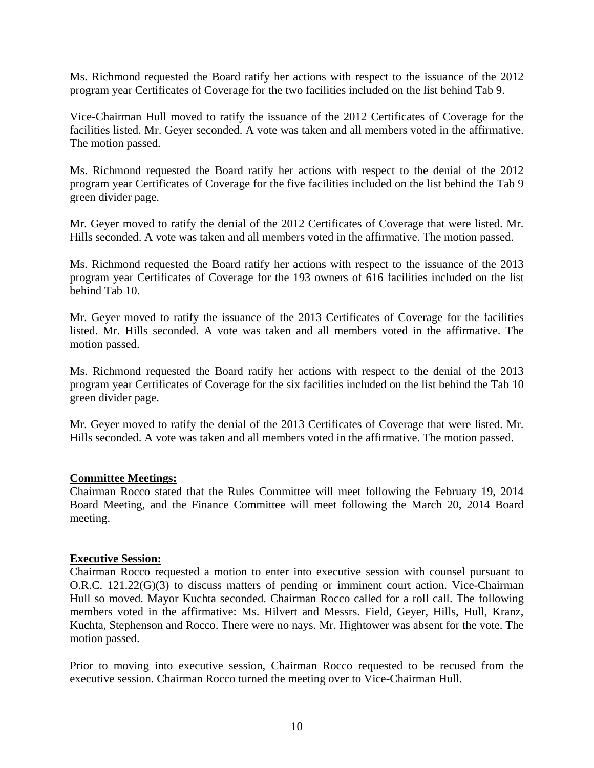Ms. Richmond requested the Board ratify her actions with respect to the issuance of the 2012 program year Certificates of Coverage for the two facilities included on the list behind Tab 9.

Vice-Chairman Hull moved to ratify the issuance of the 2012 Certificates of Coverage for the facilities listed. Mr. Geyer seconded. A vote was taken and all members voted in the affirmative. The motion passed.

Ms. Richmond requested the Board ratify her actions with respect to the denial of the 2012 program year Certificates of Coverage for the five facilities included on the list behind the Tab 9 green divider page.

Mr. Geyer moved to ratify the denial of the 2012 Certificates of Coverage that were listed. Mr. Hills seconded. A vote was taken and all members voted in the affirmative. The motion passed.

Ms. Richmond requested the Board ratify her actions with respect to the issuance of the 2013 program year Certificates of Coverage for the 193 owners of 616 facilities included on the list behind Tab 10.

Mr. Geyer moved to ratify the issuance of the 2013 Certificates of Coverage for the facilities listed. Mr. Hills seconded. A vote was taken and all members voted in the affirmative. The motion passed.

Ms. Richmond requested the Board ratify her actions with respect to the denial of the 2013 program year Certificates of Coverage for the six facilities included on the list behind the Tab 10 green divider page.

Mr. Geyer moved to ratify the denial of the 2013 Certificates of Coverage that were listed. Mr. Hills seconded. A vote was taken and all members voted in the affirmative. The motion passed.

#### **Committee Meetings:**

Chairman Rocco stated that the Rules Committee will meet following the February 19, 2014 Board Meeting, and the Finance Committee will meet following the March 20, 2014 Board meeting.

#### **Executive Session:**

Chairman Rocco requested a motion to enter into executive session with counsel pursuant to O.R.C. 121.22(G)(3) to discuss matters of pending or imminent court action. Vice-Chairman Hull so moved. Mayor Kuchta seconded. Chairman Rocco called for a roll call. The following members voted in the affirmative: Ms. Hilvert and Messrs. Field, Geyer, Hills, Hull, Kranz, Kuchta, Stephenson and Rocco. There were no nays. Mr. Hightower was absent for the vote. The motion passed.

Prior to moving into executive session, Chairman Rocco requested to be recused from the executive session. Chairman Rocco turned the meeting over to Vice-Chairman Hull.